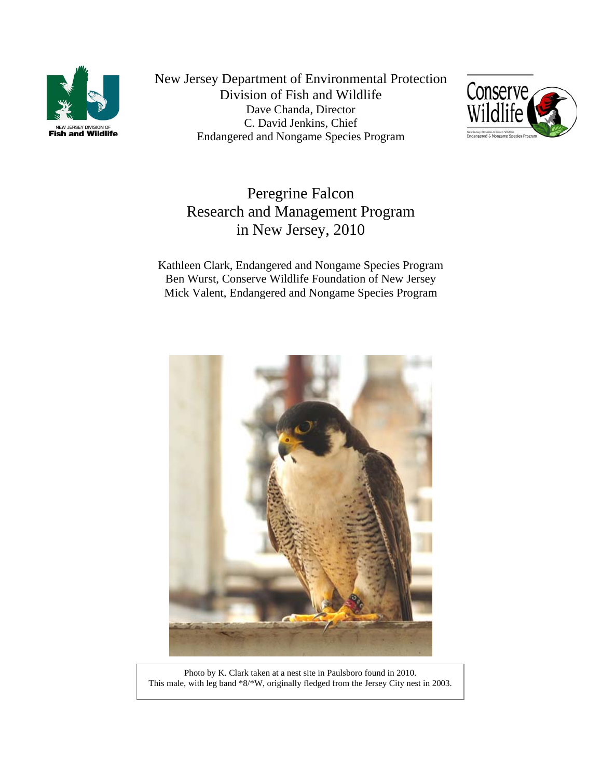

New Jersey Department of Environmental Protection Division of Fish and Wildlife Dave Chanda, Director C. David Jenkins, Chief Endangered and Nongame Species Program



# Peregrine Falcon Research and Management Program in New Jersey, 2010

Kathleen Clark, Endangered and Nongame Species Program Ben Wurst, Conserve Wildlife Foundation of New Jersey Mick Valent, Endangered and Nongame Species Program



Photo by K. Clark taken at a nest site in Paulsboro found in 2010. This male, with leg band \*8/\*W, originally fledged from the Jersey City nest in 2003.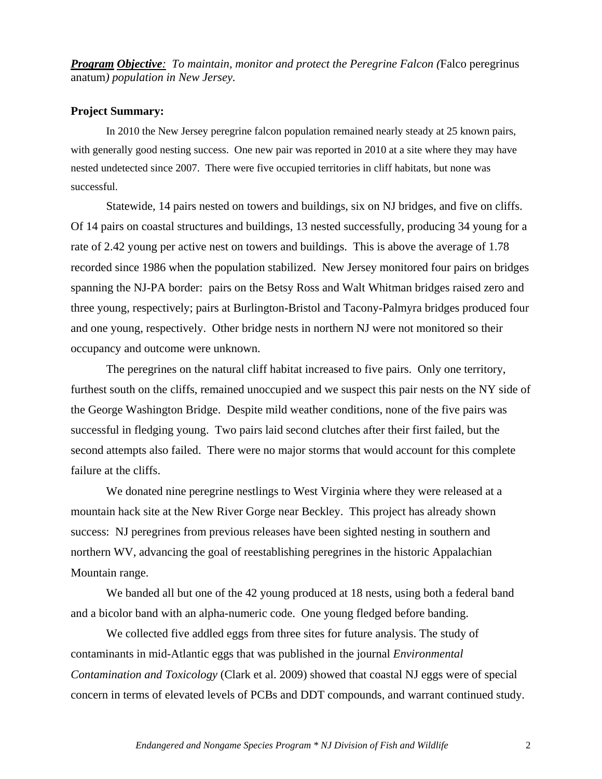*Program Objective: To maintain, monitor and protect the Peregrine Falcon (*Falco peregrinus anatum*) population in New Jersey.*

#### **Project Summary:**

In 2010 the New Jersey peregrine falcon population remained nearly steady at 25 known pairs, with generally good nesting success. One new pair was reported in 2010 at a site where they may have nested undetected since 2007. There were five occupied territories in cliff habitats, but none was successful.

Statewide, 14 pairs nested on towers and buildings, six on NJ bridges, and five on cliffs. Of 14 pairs on coastal structures and buildings, 13 nested successfully, producing 34 young for a rate of 2.42 young per active nest on towers and buildings. This is above the average of 1.78 recorded since 1986 when the population stabilized. New Jersey monitored four pairs on bridges spanning the NJ-PA border: pairs on the Betsy Ross and Walt Whitman bridges raised zero and three young, respectively; pairs at Burlington-Bristol and Tacony-Palmyra bridges produced four and one young, respectively. Other bridge nests in northern NJ were not monitored so their occupancy and outcome were unknown.

The peregrines on the natural cliff habitat increased to five pairs. Only one territory, furthest south on the cliffs, remained unoccupied and we suspect this pair nests on the NY side of the George Washington Bridge. Despite mild weather conditions, none of the five pairs was successful in fledging young. Two pairs laid second clutches after their first failed, but the second attempts also failed. There were no major storms that would account for this complete failure at the cliffs.

We donated nine peregrine nestlings to West Virginia where they were released at a mountain hack site at the New River Gorge near Beckley. This project has already shown success: NJ peregrines from previous releases have been sighted nesting in southern and northern WV, advancing the goal of reestablishing peregrines in the historic Appalachian Mountain range.

We banded all but one of the 42 young produced at 18 nests, using both a federal band and a bicolor band with an alpha-numeric code. One young fledged before banding.

We collected five addled eggs from three sites for future analysis. The study of contaminants in mid-Atlantic eggs that was published in the journal *Environmental Contamination and Toxicology* (Clark et al. 2009) showed that coastal NJ eggs were of special concern in terms of elevated levels of PCBs and DDT compounds, and warrant continued study.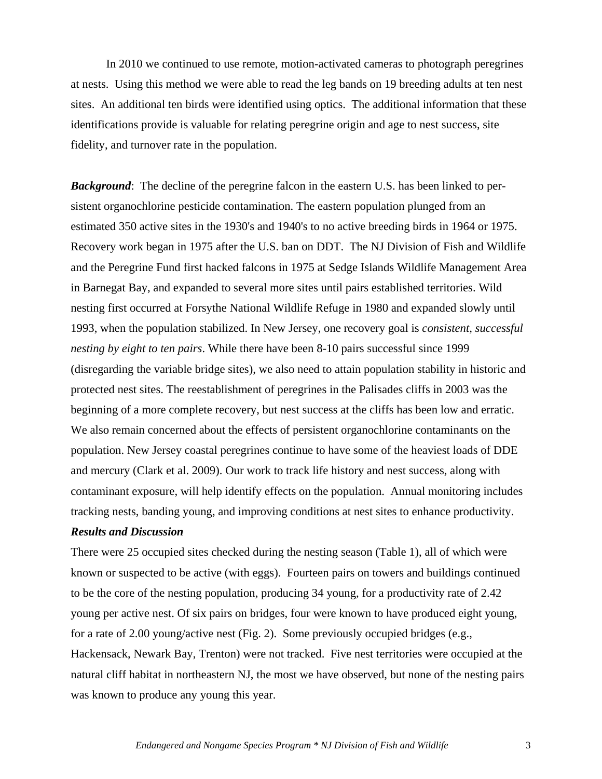In 2010 we continued to use remote, motion-activated cameras to photograph peregrines at nests. Using this method we were able to read the leg bands on 19 breeding adults at ten nest sites. An additional ten birds were identified using optics. The additional information that these identifications provide is valuable for relating peregrine origin and age to nest success, site fidelity, and turnover rate in the population.

**Background**: The decline of the peregrine falcon in the eastern U.S. has been linked to persistent organochlorine pesticide contamination. The eastern population plunged from an estimated 350 active sites in the 1930's and 1940's to no active breeding birds in 1964 or 1975. Recovery work began in 1975 after the U.S. ban on DDT. The NJ Division of Fish and Wildlife and the Peregrine Fund first hacked falcons in 1975 at Sedge Islands Wildlife Management Area in Barnegat Bay, and expanded to several more sites until pairs established territories. Wild nesting first occurred at Forsythe National Wildlife Refuge in 1980 and expanded slowly until 1993, when the population stabilized. In New Jersey, one recovery goal is *consistent, successful nesting by eight to ten pairs*. While there have been 8-10 pairs successful since 1999 (disregarding the variable bridge sites), we also need to attain population stability in historic and protected nest sites. The reestablishment of peregrines in the Palisades cliffs in 2003 was the beginning of a more complete recovery, but nest success at the cliffs has been low and erratic. We also remain concerned about the effects of persistent organochlorine contaminants on the population. New Jersey coastal peregrines continue to have some of the heaviest loads of DDE and mercury (Clark et al. 2009). Our work to track life history and nest success, along with contaminant exposure, will help identify effects on the population. Annual monitoring includes tracking nests, banding young, and improving conditions at nest sites to enhance productivity.

## *Results and Discussion*

There were 25 occupied sites checked during the nesting season (Table 1), all of which were known or suspected to be active (with eggs). Fourteen pairs on towers and buildings continued to be the core of the nesting population, producing 34 young, for a productivity rate of 2.42 young per active nest. Of six pairs on bridges, four were known to have produced eight young, for a rate of 2.00 young/active nest (Fig. 2). Some previously occupied bridges (e.g., Hackensack, Newark Bay, Trenton) were not tracked. Five nest territories were occupied at the natural cliff habitat in northeastern NJ, the most we have observed, but none of the nesting pairs was known to produce any young this year.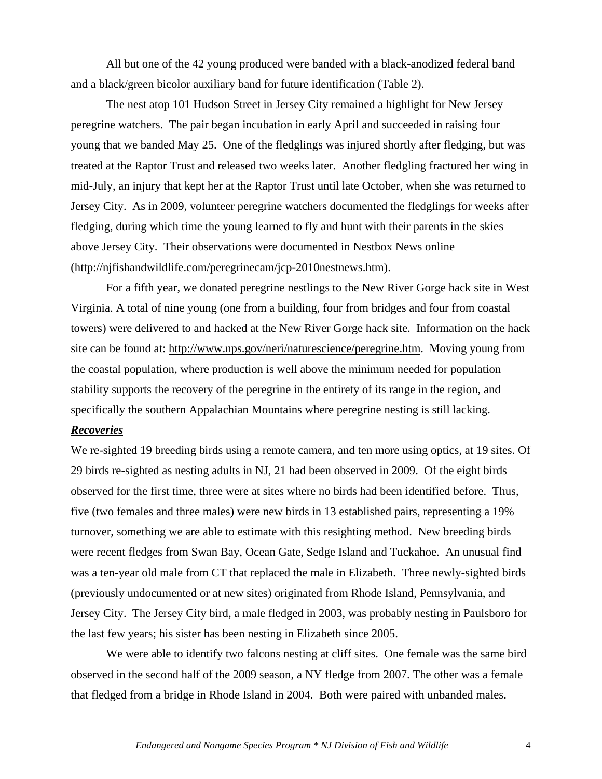All but one of the 42 young produced were banded with a black-anodized federal band and a black/green bicolor auxiliary band for future identification (Table 2).

The nest atop 101 Hudson Street in Jersey City remained a highlight for New Jersey peregrine watchers. The pair began incubation in early April and succeeded in raising four young that we banded May 25. One of the fledglings was injured shortly after fledging, but was treated at the Raptor Trust and released two weeks later. Another fledgling fractured her wing in mid-July, an injury that kept her at the Raptor Trust until late October, when she was returned to Jersey City. As in 2009, volunteer peregrine watchers documented the fledglings for weeks after fledging, during which time the young learned to fly and hunt with their parents in the skies above Jersey City. Their observations were documented in Nestbox News online (http://njfishandwildlife.com/peregrinecam/jcp-2010nestnews.htm).

For a fifth year, we donated peregrine nestlings to the New River Gorge hack site in West Virginia. A total of nine young (one from a building, four from bridges and four from coastal towers) were delivered to and hacked at the New River Gorge hack site. Information on the hack site can be found at: [http://www.nps.gov/neri/naturescience/peregrine.htm.](http://www.nps.gov/neri/naturescience/peregrine.htm) Moving young from the coastal population, where production is well above the minimum needed for population stability supports the recovery of the peregrine in the entirety of its range in the region, and specifically the southern Appalachian Mountains where peregrine nesting is still lacking.

## *Recoveries*

We re-sighted 19 breeding birds using a remote camera, and ten more using optics, at 19 sites. Of 29 birds re-sighted as nesting adults in NJ, 21 had been observed in 2009. Of the eight birds observed for the first time, three were at sites where no birds had been identified before. Thus, five (two females and three males) were new birds in 13 established pairs, representing a 19% turnover, something we are able to estimate with this resighting method. New breeding birds were recent fledges from Swan Bay, Ocean Gate, Sedge Island and Tuckahoe. An unusual find was a ten-year old male from CT that replaced the male in Elizabeth. Three newly-sighted birds (previously undocumented or at new sites) originated from Rhode Island, Pennsylvania, and Jersey City. The Jersey City bird, a male fledged in 2003, was probably nesting in Paulsboro for the last few years; his sister has been nesting in Elizabeth since 2005.

We were able to identify two falcons nesting at cliff sites. One female was the same bird observed in the second half of the 2009 season, a NY fledge from 2007. The other was a female that fledged from a bridge in Rhode Island in 2004. Both were paired with unbanded males.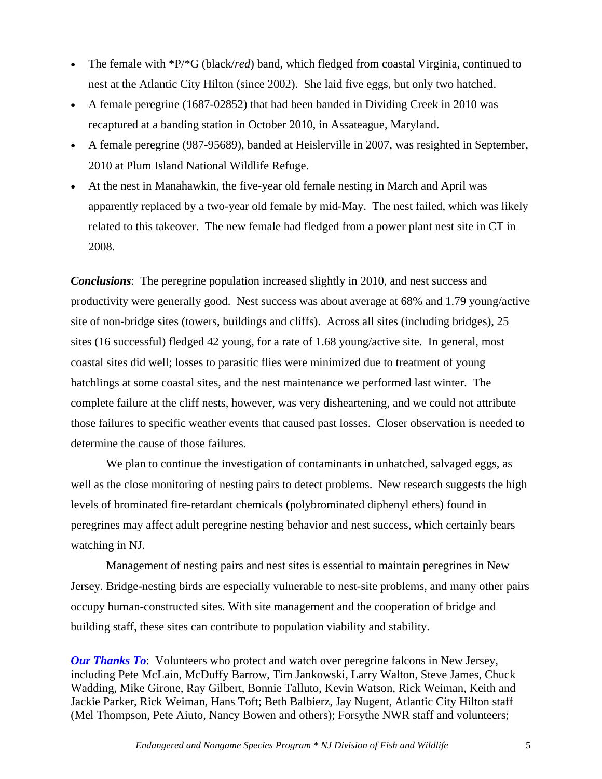- The female with \*P/\*G (black/*red*) band, which fledged from coastal Virginia, continued to nest at the Atlantic City Hilton (since 2002). She laid five eggs, but only two hatched.
- A female peregrine (1687-02852) that had been banded in Dividing Creek in 2010 was recaptured at a banding station in October 2010, in Assateague, Maryland.
- A female peregrine (987-95689), banded at Heislerville in 2007, was resighted in September, 2010 at Plum Island National Wildlife Refuge.
- At the nest in Manahawkin, the five-year old female nesting in March and April was apparently replaced by a two-year old female by mid-May. The nest failed, which was likely related to this takeover. The new female had fledged from a power plant nest site in CT in 2008.

*Conclusions*: The peregrine population increased slightly in 2010, and nest success and productivity were generally good. Nest success was about average at 68% and 1.79 young/active site of non-bridge sites (towers, buildings and cliffs). Across all sites (including bridges), 25 sites (16 successful) fledged 42 young, for a rate of 1.68 young/active site. In general, most coastal sites did well; losses to parasitic flies were minimized due to treatment of young hatchlings at some coastal sites, and the nest maintenance we performed last winter. The complete failure at the cliff nests, however, was very disheartening, and we could not attribute those failures to specific weather events that caused past losses. Closer observation is needed to determine the cause of those failures.

We plan to continue the investigation of contaminants in unhatched, salvaged eggs, as well as the close monitoring of nesting pairs to detect problems. New research suggests the high levels of brominated fire-retardant chemicals (polybrominated diphenyl ethers) found in peregrines may affect adult peregrine nesting behavior and nest success, which certainly bears watching in NJ.

Management of nesting pairs and nest sites is essential to maintain peregrines in New Jersey. Bridge-nesting birds are especially vulnerable to nest-site problems, and many other pairs occupy human-constructed sites. With site management and the cooperation of bridge and building staff, these sites can contribute to population viability and stability.

*Our Thanks To*: Volunteers who protect and watch over peregrine falcons in New Jersey, including Pete McLain, McDuffy Barrow, Tim Jankowski, Larry Walton, Steve James, Chuck Wadding, Mike Girone, Ray Gilbert, Bonnie Talluto, Kevin Watson, Rick Weiman, Keith and Jackie Parker, Rick Weiman, Hans Toft; Beth Balbierz, Jay Nugent, Atlantic City Hilton staff (Mel Thompson, Pete Aiuto, Nancy Bowen and others); Forsythe NWR staff and volunteers;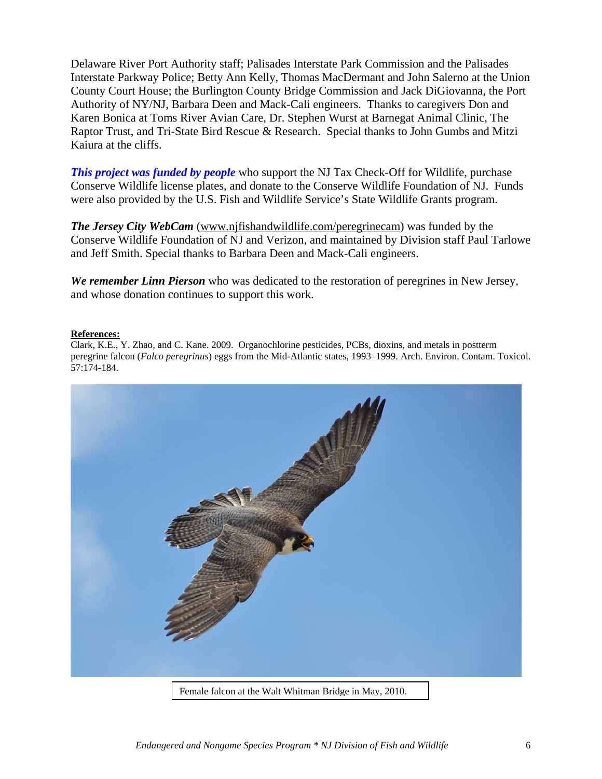Delaware River Port Authority staff; Palisades Interstate Park Commission and the Palisades Interstate Parkway Police; Betty Ann Kelly, Thomas MacDermant and John Salerno at the Union County Court House; the Burlington County Bridge Commission and Jack DiGiovanna, the Port Authority of NY/NJ, Barbara Deen and Mack-Cali engineers. Thanks to caregivers Don and Karen Bonica at Toms River Avian Care, Dr. Stephen Wurst at Barnegat Animal Clinic, The Raptor Trust, and Tri-State Bird Rescue & Research. Special thanks to John Gumbs and Mitzi Kaiura at the cliffs.

*This project was funded by people* who support the NJ Tax Check-Off for Wildlife, purchase Conserve Wildlife license plates, and donate to the Conserve Wildlife Foundation of NJ. Funds were also provided by the U.S. Fish and Wildlife Service's State Wildlife Grants program.

*The Jersey City WebCam* ([www.njfishandwildlife.com/peregrinecam](http://www.njfishandwildlife.com/peregrinecam)) was funded by the Conserve Wildlife Foundation of NJ and Verizon, and maintained by Division staff Paul Tarlowe and Jeff Smith. Special thanks to Barbara Deen and Mack-Cali engineers.

*We remember Linn Pierson* who was dedicated to the restoration of peregrines in New Jersey, and whose donation continues to support this work.

### **References:**

Clark, K.E., Y. Zhao, and C. Kane. 2009. Organochlorine pesticides, PCBs, dioxins, and metals in postterm peregrine falcon (*Falco peregrinus*) eggs from the Mid-Atlantic states, 1993–1999. Arch. Environ. Contam. Toxicol. 57:174-184.



*Endangered and Nongame Species Program \* NJ Division of Fish and Wildlife* 6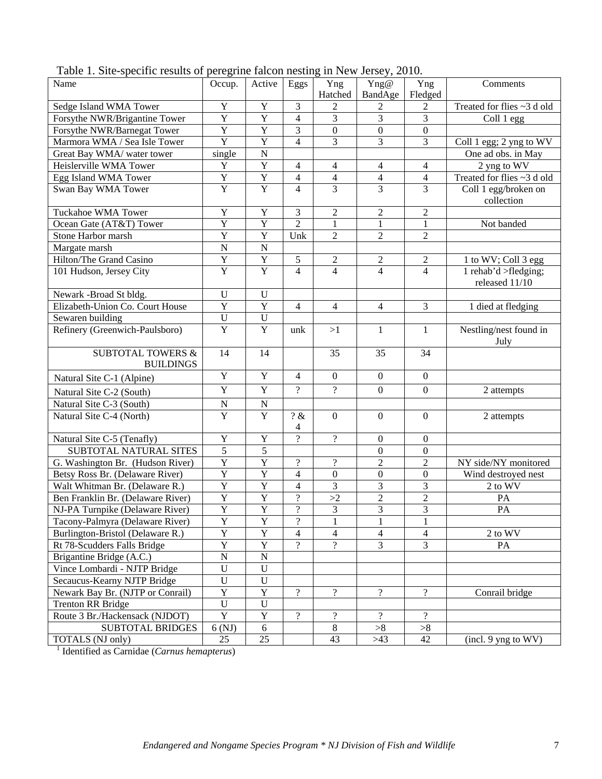| There is site operator testates of peregrant<br>Name    | Occup.                  | Active                  | THIS OIL HOUGHIT<br>Eggs | Yng              | $\frac{1}{2}$<br>Yng@   | Yng              | Comments                   |
|---------------------------------------------------------|-------------------------|-------------------------|--------------------------|------------------|-------------------------|------------------|----------------------------|
|                                                         |                         |                         |                          | Hatched          | BandAge                 | Fledged          |                            |
| Sedge Island WMA Tower                                  | Y                       | Y                       | 3                        | $\overline{2}$   | 2                       | 2                | Treated for flies ~3 d old |
| Forsythe NWR/Brigantine Tower                           | $\mathbf Y$             | Y                       | $\overline{4}$           | $\mathfrak{Z}$   | 3                       | 3                | Coll 1 egg                 |
| Forsythe NWR/Barnegat Tower                             | $\overline{Y}$          | $\overline{Y}$          | 3                        | $\boldsymbol{0}$ | $\boldsymbol{0}$        | $\boldsymbol{0}$ |                            |
| Marmora WMA / Sea Isle Tower                            | $\overline{Y}$          | Y                       | $\overline{4}$           | $\overline{3}$   | 3                       | 3                | Coll 1 egg; 2 yng to WV    |
| Great Bay WMA/ water tower                              | single                  | $\overline{N}$          |                          |                  |                         |                  | One ad obs. in May         |
| Heislerville WMA Tower                                  | $\mathbf Y$             | $\overline{Y}$          | 4                        | $\overline{4}$   | $\overline{4}$          | $\overline{4}$   | 2 yng to WV                |
| Egg Island WMA Tower                                    | $\mathbf Y$             | $\overline{Y}$          | $\overline{4}$           | $\overline{4}$   | $\overline{4}$          | $\overline{4}$   | Treated for flies ~3 d old |
| Swan Bay WMA Tower                                      | $\overline{Y}$          | $\overline{Y}$          | $\overline{4}$           | $\overline{3}$   | 3                       | 3                | Coll 1 egg/broken on       |
|                                                         |                         |                         |                          |                  |                         |                  | collection                 |
| <b>Tuckahoe WMA Tower</b>                               | $\mathbf Y$             | $\mathbf Y$             | 3                        | $\overline{2}$   | $\overline{2}$          | $\overline{c}$   |                            |
| Ocean Gate (AT&T) Tower                                 | $\overline{\mathbf{Y}}$ | $\overline{Y}$          | $\overline{2}$           | $\mathbf{1}$     | $\mathbf{1}$            | $\mathbf{1}$     | Not banded                 |
| Stone Harbor marsh                                      | $\overline{Y}$          | $\overline{Y}$          | Unk                      | $\overline{2}$   | $\overline{2}$          | $\overline{2}$   |                            |
| Margate marsh                                           | $\overline{N}$          | $\overline{N}$          |                          |                  |                         |                  |                            |
| Hilton/The Grand Casino                                 | $\overline{\textbf{Y}}$ | $\overline{Y}$          | $\sqrt{5}$               | $\sqrt{2}$       | $\boldsymbol{2}$        | $\overline{2}$   | 1 to WV; Coll 3 egg        |
| 101 Hudson, Jersey City                                 | $\overline{Y}$          | $\overline{Y}$          | $\overline{4}$           | $\overline{4}$   | $\overline{4}$          | $\overline{4}$   | 1 rehab'd >fledging;       |
|                                                         |                         |                         |                          |                  |                         |                  | released 11/10             |
| Newark -Broad St bldg.                                  | $\mathbf U$             | $\mathbf U$             |                          |                  |                         |                  |                            |
| Elizabeth-Union Co. Court House                         | $\overline{Y}$          | $\overline{Y}$          | $\overline{4}$           | $\overline{4}$   | $\overline{4}$          | $\overline{3}$   | 1 died at fledging         |
| Sewaren building                                        | ${\bf U}$               | $\overline{U}$          |                          |                  |                         |                  |                            |
| Refinery (Greenwich-Paulsboro)                          | $\overline{Y}$          | $\overline{Y}$          | unk                      | >1               | $\mathbf{1}$            | $\mathbf{1}$     | Nestling/nest found in     |
|                                                         |                         |                         |                          |                  |                         |                  | July                       |
| <b>SUBTOTAL TOWERS &amp;</b>                            | 14                      | 14                      |                          | 35               | 35                      | 34               |                            |
| <b>BUILDINGS</b>                                        |                         |                         |                          |                  |                         |                  |                            |
| Natural Site C-1 (Alpine)                               | $\mathbf Y$             | Y                       | $\overline{4}$           | $\boldsymbol{0}$ | $\boldsymbol{0}$        | $\overline{0}$   |                            |
| Natural Site C-2 (South)                                | $\mathbf Y$             | $\overline{Y}$          | $\gamma$                 | $\overline{?}$   | $\boldsymbol{0}$        | $\overline{0}$   | 2 attempts                 |
| Natural Site C-3 (South)                                | ${\bf N}$               | ${\bf N}$               |                          |                  |                         |                  |                            |
| Natural Site C-4 (North)                                | $\overline{Y}$          | $\overline{Y}$          | ? &                      | $\mathbf{0}$     | $\boldsymbol{0}$        | $\boldsymbol{0}$ | 2 attempts                 |
|                                                         |                         |                         | 4                        |                  |                         |                  |                            |
| Natural Site C-5 (Tenafly)                              | $\mathbf Y$             | $\mathbf Y$             | $\overline{?}$           | $\overline{?}$   | $\boldsymbol{0}$        | $\boldsymbol{0}$ |                            |
| SUBTOTAL NATURAL SITES                                  | $\overline{5}$          | $\overline{5}$          |                          |                  | $\boldsymbol{0}$        | $\mathbf{0}$     |                            |
| G. Washington Br. (Hudson River)                        | $\overline{\mathbf{Y}}$ | $\overline{\textbf{Y}}$ | $\overline{?}$           | $\overline{?}$   | $\sqrt{2}$              | $\overline{2}$   | NY side/NY monitored       |
| Betsy Ross Br. (Delaware River)                         | $\overline{Y}$          | $\overline{Y}$          | $\overline{\mathcal{L}}$ | $\boldsymbol{0}$ | $\boldsymbol{0}$        | $\mathbf{0}$     | Wind destroyed nest        |
| Walt Whitman Br. (Delaware R.)                          | $\overline{Y}$          | $\overline{Y}$          | $\overline{\mathcal{L}}$ | $\overline{3}$   | $\overline{\mathbf{3}}$ | $\overline{3}$   | 2 to WV                    |
| Ben Franklin Br. (Delaware River)                       | $\overline{\textbf{Y}}$ | $\overline{\textbf{Y}}$ | $\overline{?}$           | >2               | $\sqrt{2}$              | $\overline{2}$   | $\mathbf{PA}$              |
| NJ-PA Turnpike (Delaware River)                         | $\overline{Y}$          | $\overline{Y}$          | $\overline{?}$           | $\overline{3}$   | $\overline{3}$          | $\overline{3}$   | PA                         |
| Tacony-Palmyra (Delaware River)                         | $\mathbf Y$             | $\mathbf Y$             | $\overline{\mathcal{L}}$ | $\mathbf{1}$     | $\mathbf{1}$            | $\mathbf{1}$     |                            |
| Burlington-Bristol (Delaware R.)                        | $\overline{Y}$          | $\overline{Y}$          | $\overline{4}$           | $\overline{4}$   | $\overline{4}$          | $\overline{4}$   | 2 to WV                    |
| Rt 78-Scudders Falls Bridge                             | $\overline{Y}$          | $\overline{Y}$          | $\gamma$                 | $\gamma$         | $\overline{3}$          | $\overline{3}$   | PA                         |
| Brigantine Bridge (A.C.)                                | $\overline{N}$          | $\overline{N}$          |                          |                  |                         |                  |                            |
| Vince Lombardi - NJTP Bridge                            | $\overline{U}$          | $\mathbf U$             |                          |                  |                         |                  |                            |
| Secaucus-Kearny NJTP Bridge                             | $\overline{U}$          | ${\bf U}$               |                          |                  |                         |                  |                            |
| Newark Bay Br. (NJTP or Conrail)                        | $\overline{Y}$          | $\overline{Y}$          | $\overline{?}$           | $\overline{?}$   | $\overline{?}$          | $\overline{?}$   | Conrail bridge             |
| <b>Trenton RR Bridge</b>                                | $\overline{U}$          | ${\bf U}$               |                          |                  |                         |                  |                            |
| Route 3 Br./Hackensack (NJDOT)                          | $\overline{Y}$          | $\overline{Y}$          | $\overline{?}$           | $\overline{?}$   | $\gamma$                | $\overline{?}$   |                            |
| <b>SUBTOTAL BRIDGES</b>                                 | 6(NJ)                   | 6                       |                          | $8\,$            | >8                      | >8               |                            |
| TOTALS (NJ only)                                        | 25                      | $\overline{25}$         |                          | 43               | >43                     | 42               | (incl. 9 yng to WV)        |
| <sup>1</sup> Identified as Carnidae (Carnus hemapterus) |                         |                         |                          |                  |                         |                  |                            |

Table 1. Site-specific results of peregrine falcon nesting in New Jersey, 2010.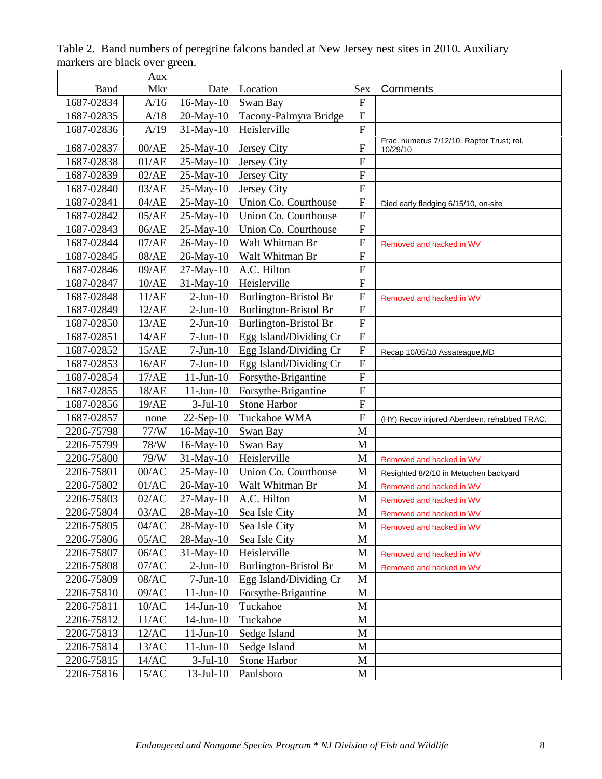|            | Aux     |                 |                              |                |                                                       |
|------------|---------|-----------------|------------------------------|----------------|-------------------------------------------------------|
| Band       | Mkr     | Date            | Location                     | Sex            | Comments                                              |
| 1687-02834 | A/16    | 16-May-10       | Swan Bay                     | $\overline{F}$ |                                                       |
| 1687-02835 | A/18    | 20-May-10       | Tacony-Palmyra Bridge        | $\overline{F}$ |                                                       |
| 1687-02836 | A/19    | $31-May-10$     | Heislerville                 | $\overline{F}$ |                                                       |
| 1687-02837 | 00/AE   | $25$ -May-10    | <b>Jersey City</b>           | $\mathbf{F}$   | Frac. humerus 7/12/10. Raptor Trust; rel.<br>10/29/10 |
| 1687-02838 | 01/AE   | 25-May-10       | Jersey City                  | $\mathbf F$    |                                                       |
| 1687-02839 | 02/AE   | 25-May-10       | Jersey City                  | $\overline{F}$ |                                                       |
| 1687-02840 | 03/AE   | 25-May-10       | Jersey City                  | $\overline{F}$ |                                                       |
| 1687-02841 | 04/AE   | 25-May-10       | Union Co. Courthouse         | $\mathbf F$    | Died early fledging 6/15/10, on-site                  |
| 1687-02842 | 05/AE   | 25-May-10       | Union Co. Courthouse         | $\overline{F}$ |                                                       |
| 1687-02843 | 06/AE   | 25-May-10       | Union Co. Courthouse         | $\overline{F}$ |                                                       |
| 1687-02844 | 07/AE   | 26-May-10       | Walt Whitman Br              | $\overline{F}$ | Removed and hacked in WV                              |
| 1687-02845 | 08/AE   | 26-May-10       | Walt Whitman Br              | $\overline{F}$ |                                                       |
| 1687-02846 | 09/AE   | 27-May-10       | A.C. Hilton                  | $\overline{F}$ |                                                       |
| 1687-02847 | 10/AE   | 31-May-10       | Heislerville                 | $\overline{F}$ |                                                       |
| 1687-02848 | 11/AE   | $2-Jun-10$      | <b>Burlington-Bristol Br</b> | $\mathbf F$    | Removed and hacked in WV                              |
| 1687-02849 | 12/AE   | $2-Jun-10$      | <b>Burlington-Bristol Br</b> | $\mathbf F$    |                                                       |
| 1687-02850 | 13/AE   | $2-Jun-10$      | <b>Burlington-Bristol Br</b> | $\overline{F}$ |                                                       |
| 1687-02851 | 14/AE   | $7-Jun-10$      | Egg Island/Dividing Cr       | $\overline{F}$ |                                                       |
| 1687-02852 | 15/AE   | $7-Jun-10$      | Egg Island/Dividing Cr       | $\overline{F}$ | Recap 10/05/10 Assateague, MD                         |
| 1687-02853 | 16/AE   | $7-Jun-10$      | Egg Island/Dividing Cr       | $\overline{F}$ |                                                       |
| 1687-02854 | 17/AE   | $11$ -Jun- $10$ | Forsythe-Brigantine          | $\overline{F}$ |                                                       |
| 1687-02855 | 18/AE   | $11$ -Jun- $10$ | Forsythe-Brigantine          | $\overline{F}$ |                                                       |
| 1687-02856 | 19/AE   | $3-Jul-10$      | <b>Stone Harbor</b>          | $\mathbf F$    |                                                       |
| 1687-02857 | none    | $22-Sep-10$     | Tuckahoe WMA                 | $\overline{F}$ | (HY) Recov injured Aberdeen, rehabbed TRAC.           |
| 2206-75798 | 77/W    | 16-May-10       | Swan Bay                     | M              |                                                       |
| 2206-75799 | 78/W    | $16$ -May- $10$ | Swan Bay                     | M              |                                                       |
| 2206-75800 | 79/W    | 31-May-10       | Heislerville                 | M              | Removed and hacked in WV                              |
| 2206-75801 | 00/AC   | 25-May-10       | Union Co. Courthouse         | M              | Resighted 8/2/10 in Metuchen backyard                 |
| 2206-75802 | 01/AC   | 26-May-10       | Walt Whitman Br              | M              | Removed and hacked in WV                              |
| 2206-75803 | 02/AC   | 27-May-10       | A.C. Hilton                  | M              | Removed and hacked in WV                              |
| 2206-75804 | 03/AC   | 28-May-10       | Sea Isle City                | M              | Removed and hacked in WV                              |
| 2206-75805 | 04/AC   | $28$ -May-10    | Sea Isle City                | M              | Removed and hacked in WV                              |
| 2206-75806 | 05/AC   | $28$ -May-10    | Sea Isle City                | M              |                                                       |
| 2206-75807 | 06/AC   | 31-May-10       | Heislerville                 | $\mathbf M$    | Removed and hacked in WV                              |
| 2206-75808 | $07/AC$ | $2-Jun-10$      | <b>Burlington-Bristol Br</b> | M              | Removed and hacked in WV                              |
| 2206-75809 | 08/AC   | $7-Jun-10$      | Egg Island/Dividing Cr       | M              |                                                       |
| 2206-75810 | 09/AC   | $11$ -Jun- $10$ | Forsythe-Brigantine          | M              |                                                       |
| 2206-75811 | 10/AC   | $14$ -Jun- $10$ | Tuckahoe                     | M              |                                                       |
| 2206-75812 | 11/AC   | $14$ -Jun- $10$ | Tuckahoe                     | M              |                                                       |
| 2206-75813 | 12/AC   | $11$ -Jun- $10$ | Sedge Island                 | M              |                                                       |
| 2206-75814 | 13/AC   | $11$ -Jun- $10$ | Sedge Island                 | $\mathbf M$    |                                                       |
| 2206-75815 | 14/AC   | $3-Jul-10$      | Stone Harbor                 | M              |                                                       |
| 2206-75816 | 15/AC   | $13 - Jul - 10$ | Paulsboro                    | M              |                                                       |

Table 2. Band numbers of peregrine falcons banded at New Jersey nest sites in 2010. Auxiliary markers are black over green.